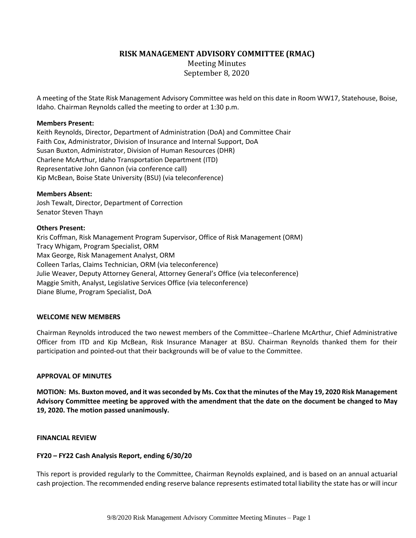**RISK MANAGEMENT ADVISORY COMMITTEE (RMAC)**

Meeting Minutes September 8, 2020

A meeting of the State Risk Management Advisory Committee was held on this date in Room WW17, Statehouse, Boise, Idaho. Chairman Reynolds called the meeting to order at 1:30 p.m.

# **Members Present:**

Keith Reynolds, Director, Department of Administration (DoA) and Committee Chair Faith Cox, Administrator, Division of Insurance and Internal Support, DoA Susan Buxton, Administrator, Division of Human Resources (DHR) Charlene McArthur, Idaho Transportation Department (ITD) Representative John Gannon (via conference call) Kip McBean, Boise State University (BSU) (via teleconference)

#### **Members Absent:**

Josh Tewalt, Director, Department of Correction Senator Steven Thayn

## **Others Present:**

Kris Coffman, Risk Management Program Supervisor, Office of Risk Management (ORM) Tracy Whigam, Program Specialist, ORM Max George, Risk Management Analyst, ORM Colleen Tarlas, Claims Technician, ORM (via teleconference) Julie Weaver, Deputy Attorney General, Attorney General's Office (via teleconference) Maggie Smith, Analyst, Legislative Services Office (via teleconference) Diane Blume, Program Specialist, DoA

# **WELCOME NEW MEMBERS**

Chairman Reynolds introduced the two newest members of the Committee--Charlene McArthur, Chief Administrative Officer from ITD and Kip McBean, Risk Insurance Manager at BSU. Chairman Reynolds thanked them for their participation and pointed-out that their backgrounds will be of value to the Committee.

#### **APPROVAL OF MINUTES**

**MOTION: Ms. Buxton moved, and it was seconded by Ms. Cox that the minutes of the May 19, 2020 Risk Management Advisory Committee meeting be approved with the amendment that the date on the document be changed to May 19, 2020. The motion passed unanimously.**

#### **FINANCIAL REVIEW**

# **FY20 – FY22 Cash Analysis Report, ending 6/30/20**

This report is provided regularly to the Committee, Chairman Reynolds explained, and is based on an annual actuarial cash projection. The recommended ending reserve balance represents estimated total liability the state has or will incur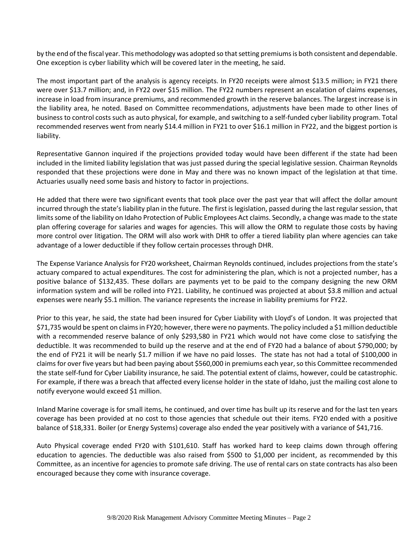by the end of the fiscal year. This methodology was adopted so that setting premiums is both consistent and dependable. One exception is cyber liability which will be covered later in the meeting, he said.

The most important part of the analysis is agency receipts. In FY20 receipts were almost \$13.5 million; in FY21 there were over \$13.7 million; and, in FY22 over \$15 million. The FY22 numbers represent an escalation of claims expenses, increase in load from insurance premiums, and recommended growth in the reserve balances. The largest increase is in the liability area, he noted. Based on Committee recommendations, adjustments have been made to other lines of business to control costs such as auto physical, for example, and switching to a self-funded cyber liability program. Total recommended reserves went from nearly \$14.4 million in FY21 to over \$16.1 million in FY22, and the biggest portion is liability.

Representative Gannon inquired if the projections provided today would have been different if the state had been included in the limited liability legislation that was just passed during the special legislative session. Chairman Reynolds responded that these projections were done in May and there was no known impact of the legislation at that time. Actuaries usually need some basis and history to factor in projections.

He added that there were two significant events that took place over the past year that will affect the dollar amount incurred through the state's liability plan in the future. The first is legislation, passed during the last regular session, that limitssome of the liability on Idaho Protection of Public Employees Act claims. Secondly, a change was made to the state plan offering coverage for salaries and wages for agencies. This will allow the ORM to regulate those costs by having more control over litigation. The ORM will also work with DHR to offer a tiered liability plan where agencies can take advantage of a lower deductible if they follow certain processes through DHR.

The Expense Variance Analysis for FY20 worksheet, Chairman Reynolds continued, includes projections from the state's actuary compared to actual expenditures. The cost for administering the plan, which is not a projected number, has a positive balance of \$132,435. These dollars are payments yet to be paid to the company designing the new ORM information system and will be rolled into FY21. Liability, he continued was projected at about \$3.8 million and actual expenses were nearly \$5.1 million. The variance represents the increase in liability premiums for FY22.

Prior to this year, he said, the state had been insured for Cyber Liability with Lloyd's of London. It was projected that \$71,735 would be spent on claims in FY20; however, there were no payments. The policy included a \$1 million deductible with a recommended reserve balance of only \$293,580 in FY21 which would not have come close to satisfying the deductible. It was recommended to build up the reserve and at the end of FY20 had a balance of about \$790,000; by the end of FY21 it will be nearly \$1.7 million if we have no paid losses. The state has not had a total of \$100,000 in claims for over five years but had been paying about \$560,000 in premiums each year, so this Committee recommended the state self-fund for Cyber Liability insurance, he said. The potential extent of claims, however, could be catastrophic. For example, if there was a breach that affected every license holder in the state of Idaho, just the mailing cost alone to notify everyone would exceed \$1 million.

Inland Marine coverage is for small items, he continued, and over time has built up its reserve and for the last ten years coverage has been provided at no cost to those agencies that schedule out their items. FY20 ended with a positive balance of \$18,331. Boiler (or Energy Systems) coverage also ended the year positively with a variance of \$41,716.

Auto Physical coverage ended FY20 with \$101,610. Staff has worked hard to keep claims down through offering education to agencies. The deductible was also raised from \$500 to \$1,000 per incident, as recommended by this Committee, as an incentive for agencies to promote safe driving. The use of rental cars on state contracts has also been encouraged because they come with insurance coverage.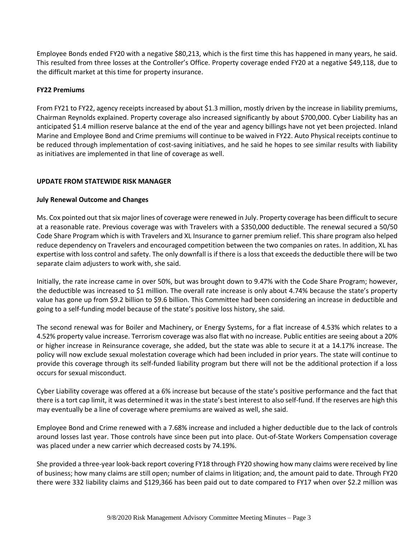Employee Bonds ended FY20 with a negative \$80,213, which is the first time this has happened in many years, he said. This resulted from three losses at the Controller's Office. Property coverage ended FY20 at a negative \$49,118, due to the difficult market at this time for property insurance.

# **FY22 Premiums**

From FY21 to FY22, agency receipts increased by about \$1.3 million, mostly driven by the increase in liability premiums, Chairman Reynolds explained. Property coverage also increased significantly by about \$700,000. Cyber Liability has an anticipated \$1.4 million reserve balance at the end of the year and agency billings have not yet been projected. Inland Marine and Employee Bond and Crime premiums will continue to be waived in FY22. Auto Physical receipts continue to be reduced through implementation of cost-saving initiatives, and he said he hopes to see similar results with liability as initiatives are implemented in that line of coverage as well.

# **UPDATE FROM STATEWIDE RISK MANAGER**

## **July Renewal Outcome and Changes**

Ms. Cox pointed out that six major lines of coverage were renewed in July. Property coverage has been difficult to secure at a reasonable rate. Previous coverage was with Travelers with a \$350,000 deductible. The renewal secured a 50/50 Code Share Program which is with Travelers and XL Insurance to garner premium relief. This share program also helped reduce dependency on Travelers and encouraged competition between the two companies on rates. In addition, XL has expertise with loss control and safety. The only downfall is if there is a loss that exceeds the deductible there will be two separate claim adjusters to work with, she said.

Initially, the rate increase came in over 50%, but was brought down to 9.47% with the Code Share Program; however, the deductible was increased to \$1 million. The overall rate increase is only about 4.74% because the state's property value has gone up from \$9.2 billion to \$9.6 billion. This Committee had been considering an increase in deductible and going to a self-funding model because of the state's positive loss history, she said.

The second renewal was for Boiler and Machinery, or Energy Systems, for a flat increase of 4.53% which relates to a 4.52% property value increase. Terrorism coverage was also flat with no increase. Public entities are seeing about a 20% or higher increase in Reinsurance coverage, she added, but the state was able to secure it at a 14.17% increase. The policy will now exclude sexual molestation coverage which had been included in prior years. The state will continue to provide this coverage through its self-funded liability program but there will not be the additional protection if a loss occurs for sexual misconduct.

Cyber Liability coverage was offered at a 6% increase but because of the state's positive performance and the fact that there is a tort cap limit, it was determined it was in the state's best interest to also self-fund. If the reserves are high this may eventually be a line of coverage where premiums are waived as well, she said.

Employee Bond and Crime renewed with a 7.68% increase and included a higher deductible due to the lack of controls around losses last year. Those controls have since been put into place. Out-of-State Workers Compensation coverage was placed under a new carrier which decreased costs by 74.19%.

She provided a three-year look-back report covering FY18 through FY20 showing how many claims were received by line of business; how many claims are still open; number of claims in litigation; and, the amount paid to date. Through FY20 there were 332 liability claims and \$129,366 has been paid out to date compared to FY17 when over \$2.2 million was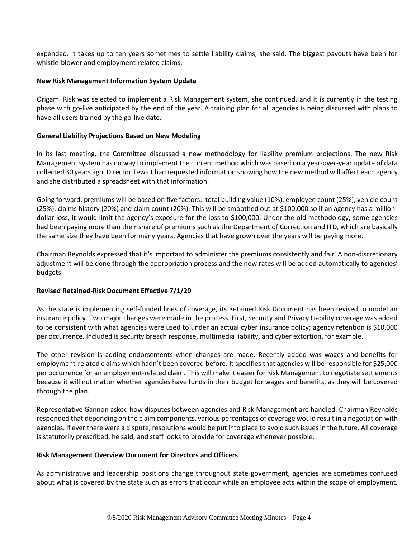expended. It takes up to ten years sometimes to settle liability claims, she said. The biggest payouts have been for whistle-blower and employment-related claims.

### **New Risk Management Information System Update**

Origami Risk was selected to implement a Risk Management system, she continued, and it is currently in the testing phase with go-live anticipated by the end of the year. A training plan for all agencies is being discussed with plans to have all users trained by the go-live date.

## **General Liability Projections Based on New Modeling**

In its last meeting, the Committee discussed a new methodology for liability premium projections. The new Risk Management system has no way to implement the current method which was based on a year-over-year update of data collected 30 years ago. Director Tewalt had requested information showing how the new method will affect each agency and she distributed a spreadsheet with that information.

Going forward, premiums will be based on five factors: total building value (10%), employee count (25%), vehicle count (25%), claims history (20%) and claim count (20%). This will be smoothed out at \$100,000 so if an agency has a milliondollar loss, it would limit the agency's exposure for the loss to \$100,000. Under the old methodology, some agencies had been paying more than their share of premiums such as the Department of Correction and ITD, which are basically the same size they have been for many years. Agencies that have grown over the years will be paying more.

Chairman Reynolds expressed that it's important to administer the premiums consistently and fair. A non-discretionary adjustment will be done through the appropriation process and the new rates will be added automatically to agencies' budgets.

# **Revised Retained-Risk Document Effective 7/1/20**

As the state is implementing self-funded lines of coverage, its Retained Risk Document has been revised to model an insurance policy. Two major changes were made in the process. First, Security and Privacy Liability coverage was added to be consistent with what agencies were used to under an actual cyber insurance policy; agency retention is \$10,000 per occurrence. Included is security breach response, multimedia liability, and cyber extortion, for example.

The other revision is adding endorsements when changes are made. Recently added was wages and benefits for employment-related claims which hadn't been covered before. It specifies that agencies will be responsible for \$25,000 per occurrence for an employment-related claim. This will make it easier for Risk Management to negotiate settlements because it will not matter whether agencies have funds in their budget for wages and benefits, as they will be covered through the plan.

Representative Gannon asked how disputes between agencies and Risk Management are handled. Chairman Reynolds responded that depending on the claim components, various percentages of coverage would result in a negotiation with agencies. If ever there were a dispute, resolutions would be put into place to avoid such issuesin the future. All coverage is statutorily prescribed, he said, and staff looks to provide for coverage whenever possible.

#### **Risk Management Overview Document for Directors and Officers**

As administrative and leadership positions change throughout state government, agencies are sometimes confused about what is covered by the state such as errors that occur while an employee acts within the scope of employment.